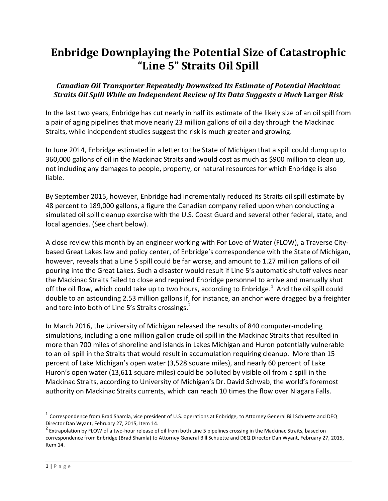## **Enbridge Downplaying the Potential Size of Catastrophic "Line 5" Straits Oil Spill**

## *Canadian Oil Transporter Repeatedly Downsized Its Estimate of Potential Mackinac Straits Oil Spill While an Independent Review of Its Data Suggests a Much* **Larger** *Risk*

In the last two years, Enbridge has cut nearly in half its estimate of the likely size of an oil spill from a pair of aging pipelines that move nearly 23 million gallons of oil a day through the Mackinac Straits, while independent studies suggest the risk is much greater and growing.

In June 2014, Enbridge estimated in a letter to the State of Michigan that a spill could dump up to 360,000 gallons of oil in the Mackinac Straits and would cost as much as \$900 million to clean up, not including any damages to people, property, or natural resources for which Enbridge is also liable.

By September 2015, however, Enbridge had incrementally reduced its Straits oil spill estimate by 48 percent to 189,000 gallons, a figure the Canadian company relied upon when conducting a simulated oil spill cleanup exercise with the U.S. Coast Guard and several other federal, state, and local agencies. (See chart below).

A close review this month by an engineer working with For Love of Water (FLOW), a Traverse Citybased Great Lakes law and policy center, of Enbridge's correspondence with the State of Michigan, however, reveals that a Line 5 spill could be far worse, and amount to 1.27 million gallons of oil pouring into the Great Lakes. Such a disaster would result if Line 5's automatic shutoff valves near the Mackinac Straits failed to close and required Enbridge personnel to arrive and manually shut off the oil flow, which could take up to two hours, according to Enbridge. $^1$  And the oil spill could double to an astounding 2.53 million gallons if, for instance, an anchor were dragged by a freighter and tore into both of Line 5's Straits crossings.<sup>2</sup>

In March 2016, the University of Michigan released the results of 840 computer-modeling simulations, including a one million gallon crude oil spill in the Mackinac Straits that resulted in more than 700 miles of shoreline and islands in Lakes Michigan and Huron potentially vulnerable to an oil spill in the Straits that would result in accumulation requiring cleanup. More than 15 percent of Lake Michigan's open water (3,528 square miles), and nearly 60 percent of Lake Huron's open water (13,611 square miles) could be polluted by visible oil from a spill in the Mackinac Straits, according to University of Michigan's Dr. David Schwab, the world's foremost authority on Mackinac Straits currents, which can reach 10 times the flow over Niagara Falls.

 $\overline{a}$ 

<sup>&</sup>lt;sup>1</sup> Correspondence from Brad Shamla, vice president of U.S. operations at Enbridge, to Attorney General Bill Schuette and DEQ Director Dan Wyant, February 27, 2015, Item 14.

 $^2$  Extrapolation by FLOW of a two-hour release of oil from both Line 5 pipelines crossing in the Mackinac Straits, based on correspondence from Enbridge (Brad Shamla) to Attorney General Bill Schuette and DEQ Director Dan Wyant, February 27, 2015, Item 14.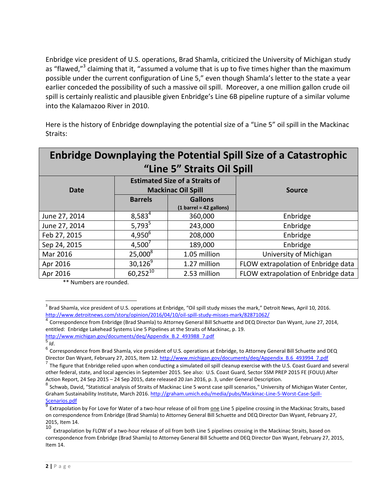Enbridge vice president of U.S. operations, Brad Shamla, criticized the University of Michigan study as "flawed,"<sup>3</sup> claiming that it, "assumed a volume that is up to five times higher than the maximum possible under the current configuration of Line 5," even though Shamla's letter to the state a year earlier conceded the possibility of such a massive oil spill. Moreover, a one million gallon crude oil spill is certainly realistic and plausible given Enbridge's Line 6B pipeline rupture of a similar volume into the Kalamazoo River in 2010.

Here is the history of Enbridge downplaying the potential size of a "Line 5" oil spill in the Mackinac Straits:

| <b>Enbridge Downplaying the Potential Spill Size of a Catastrophic</b><br>"Line 5" Straits Oil Spill |                                                                    |                                                             |                                     |
|------------------------------------------------------------------------------------------------------|--------------------------------------------------------------------|-------------------------------------------------------------|-------------------------------------|
| <b>Date</b>                                                                                          | <b>Estimated Size of a Straits of</b><br><b>Mackinac Oil Spill</b> |                                                             | <b>Source</b>                       |
|                                                                                                      | <b>Barrels</b>                                                     | <b>Gallons</b><br>$(1 \text{ barrel} = 42 \text{ gallons})$ |                                     |
| June 27, 2014                                                                                        | $8,583^{4}$                                                        | 360,000                                                     | Enbridge                            |
| June 27, 2014                                                                                        | $5,793^5$                                                          | 243,000                                                     | Enbridge                            |
| Feb 27, 2015                                                                                         | $4,950^{6}$                                                        | 208,000                                                     | Enbridge                            |
| Sep 24, 2015                                                                                         | $4,500^7$                                                          | 189,000                                                     | Enbridge                            |
| Mar 2016                                                                                             | $25,000^8$                                                         | 1.05 million                                                | University of Michigan              |
| Apr 2016                                                                                             | $30,126^9$                                                         | 1.27 million                                                | FLOW extrapolation of Enbridge data |
| Apr 2016                                                                                             | $60,252^{10}$                                                      | 2.53 million                                                | FLOW extrapolation of Enbridge data |

\*\* Numbers are rounded.

4 Correspondence from Enbridge (Brad Shamla) to Attorney General Bill Schuette and DEQ Director Dan Wyant, June 27, 2014, entitled: Enbridge Lakehead Systems Line 5 Pipelines at the Straits of Mackinac, p. 19. [http://www.michigan.gov/documents/deq/Appendix\\_B.2\\_493988\\_7.pdf](http://www.michigan.gov/documents/deq/Appendix_B.2_493988_7.pdf)

 $\overline{a}$ 

 $^3$  Brad Shamla, vice president of U.S. operations at Enbridge, "Oil spill study misses the mark," Detroit News, April 10, 2016. <http://www.detroitnews.com/story/opinion/2016/04/10/oil-spill-study-misses-mark/82871062/>

<sup>5</sup> *Id*.

 $^6$  Correspondence from Brad Shamla, vice president of U.S. operations at Enbridge, to Attorney General Bill Schuette and DEQ Director Dan Wyant, February 27, 2015, Item 12. [http://www.michigan.gov/documents/deq/Appendix\\_B.6\\_493994\\_7.pdf](http://www.michigan.gov/documents/deq/Appendix_B.6_493994_7.pdf)

<sup>&</sup>lt;sup>7</sup> The figure that Enbridge relied upon when conducting a simulated oil spill cleanup exercise with the U.S. Coast Guard and several other federal, state, and local agencies in September 2015. See also: U.S. Coast Guard, Sector SSM PREP 2015 FE (FOUU) After Action Report, 24 Sep 2015 – 24 Sep 2015, date released 20 Jan 2016, p. 3, under General Description.

<sup>&</sup>lt;sup>8</sup> Schwab, David, "Statistical analysis of Straits of Mackinac Line 5 worst case spill scenarios," University of Michigan Water Center, Graham Sustainability Institute, March 2016[. http://graham.umich.edu/media/pubs/Mackinac-Line-5-Worst-Case-Spill-](http://graham.umich.edu/media/pubs/Mackinac-Line-5-Worst-Case-Spill-Scenarios.pdf)[Scenarios.pdf](http://graham.umich.edu/media/pubs/Mackinac-Line-5-Worst-Case-Spill-Scenarios.pdf)

<sup>9</sup> Extrapolation by For Love for Water of a two-hour release of oil from one Line 5 pipeline crossing in the Mackinac Straits, based on correspondence from Enbridge (Brad Shamla) to Attorney General Bill Schuette and DEQ Director Dan Wyant, February 27, 2015, Item 14.

Extrapolation by FLOW of a two-hour release of oil from both Line 5 pipelines crossing in the Mackinac Straits, based on correspondence from Enbridge (Brad Shamla) to Attorney General Bill Schuette and DEQ Director Dan Wyant, February 27, 2015, Item 14.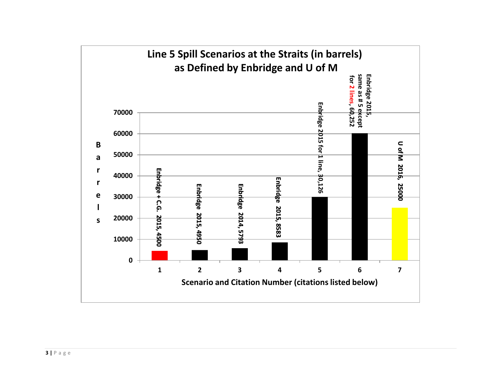